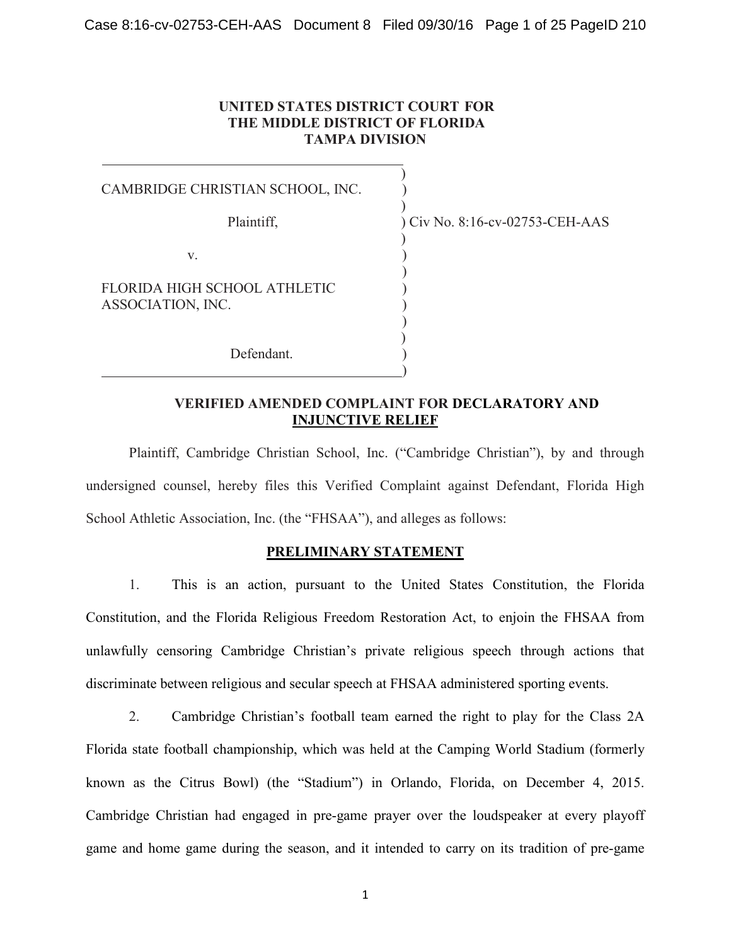## **UNITED STATES DISTRICT COURT FOR THE MIDDLE DISTRICT OF FLORIDA TAMPA DIVISION**

 $\overline{\phantom{a}}$ CAMBRIDGE CHRISTIAN SCHOOL, INC. )  $\overline{\phantom{a}}$  $\overline{\phantom{a}}$ 

 $\mathbf{v}$ .

FLORIDA HIGH SCHOOL ATHLETIC ) ASSOCIATION, INC. )

Defendant.

Plaintiff, ) Civ No. 8:16-cv-02753-CEH-AAS

## **VERIFIED AMENDED COMPLAINT FOR DECLARATORY AND INJUNCTIVE RELIEF**

)

)  $\overline{\phantom{a}}$ 

)

Plaintiff, Cambridge Christian School, Inc. ("Cambridge Christian"), by and through undersigned counsel, hereby files this Verified Complaint against Defendant, Florida High School Athletic Association, Inc. (the "FHSAA"), and alleges as follows:

# **PRELIMINARY STATEMENT**

1. This is an action, pursuant to the United States Constitution, the Florida Constitution, and the Florida Religious Freedom Restoration Act, to enjoin the FHSAA from unlawfully censoring Cambridge Christian's private religious speech through actions that discriminate between religious and secular speech at FHSAA administered sporting events.

2. Cambridge Christian's football team earned the right to play for the Class 2A Florida state football championship, which was held at the Camping World Stadium (formerly known as the Citrus Bowl) (the "Stadium") in Orlando, Florida, on December 4, 2015. Cambridge Christian had engaged in pre-game prayer over the loudspeaker at every playoff game and home game during the season, and it intended to carry on its tradition of pre-game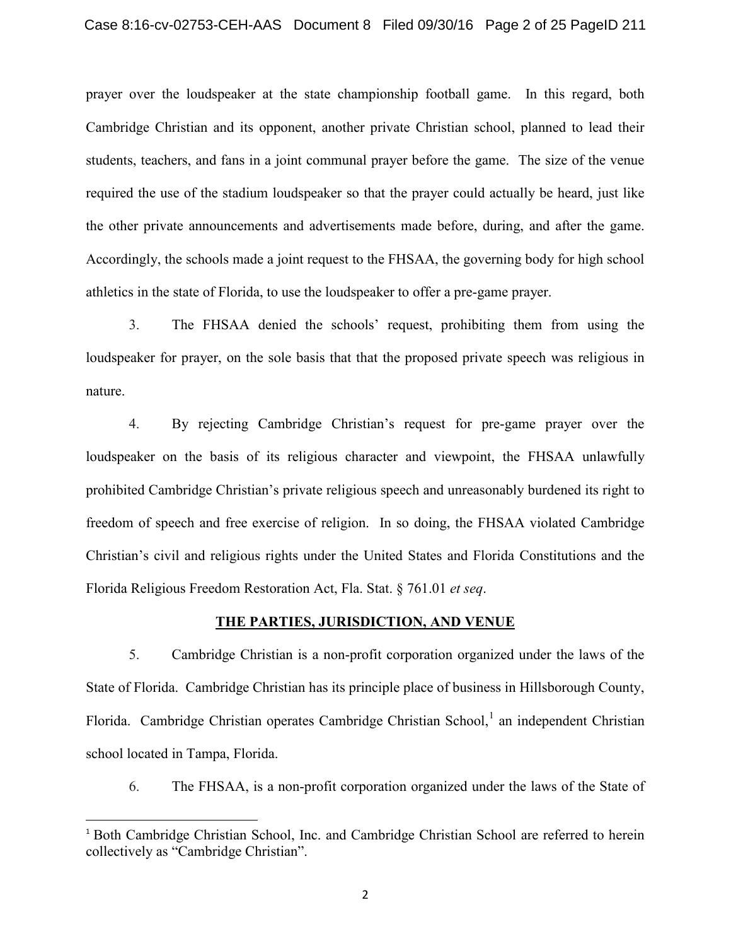prayer over the loudspeaker at the state championship football game. In this regard, both Cambridge Christian and its opponent, another private Christian school, planned to lead their students, teachers, and fans in a joint communal prayer before the game. The size of the venue required the use of the stadium loudspeaker so that the prayer could actually be heard, just like the other private announcements and advertisements made before, during, and after the game. Accordingly, the schools made a joint request to the FHSAA, the governing body for high school athletics in the state of Florida, to use the loudspeaker to offer a pre-game prayer.

3. The FHSAA denied the schools' request, prohibiting them from using the loudspeaker for prayer, on the sole basis that that the proposed private speech was religious in nature.

4. By rejecting Cambridge Christian's request for pre-game prayer over the loudspeaker on the basis of its religious character and viewpoint, the FHSAA unlawfully prohibited Cambridge Christian's private religious speech and unreasonably burdened its right to freedom of speech and free exercise of religion. In so doing, the FHSAA violated Cambridge Christian's civil and religious rights under the United States and Florida Constitutions and the Florida Religious Freedom Restoration Act, Fla. Stat. § 761.01 *et seq*.

#### **THE PARTIES, JURISDICTION, AND VENUE**

5. Cambridge Christian is a non-profit corporation organized under the laws of the State of Florida. Cambridge Christian has its principle place of business in Hillsborough County, Florida. Cambridge Christian operates Cambridge Christian School, $\frac{1}{1}$  $\frac{1}{1}$  $\frac{1}{1}$  an independent Christian school located in Tampa, Florida.

6. The FHSAA, is a non-profit corporation organized under the laws of the State of

<span id="page-1-0"></span> <sup>1</sup> Both Cambridge Christian School, Inc. and Cambridge Christian School are referred to herein collectively as "Cambridge Christian".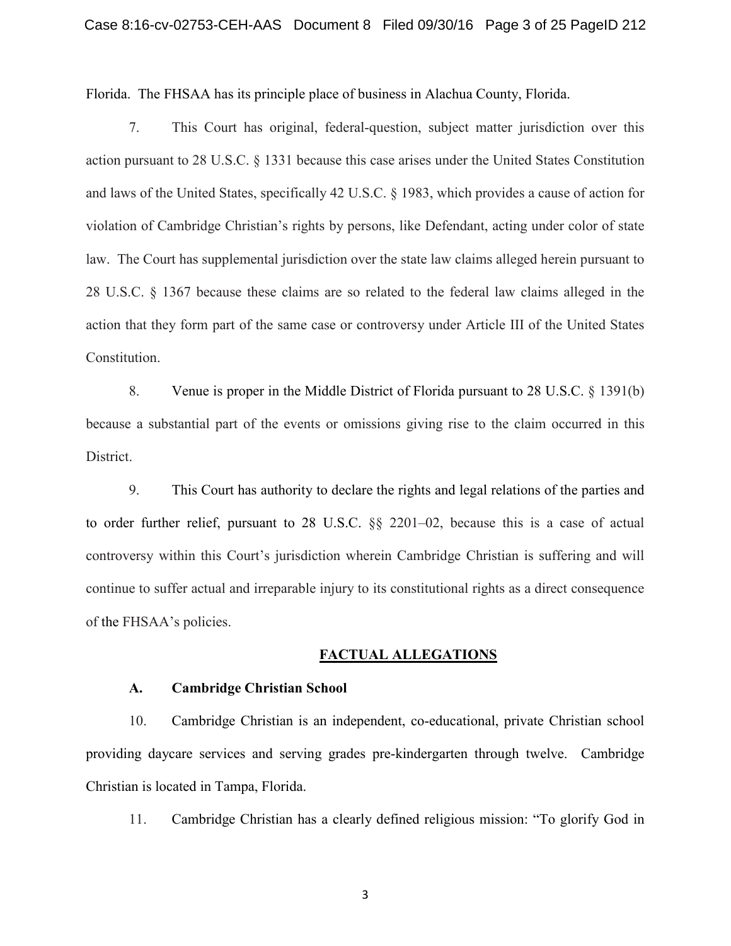Florida. The FHSAA has its principle place of business in Alachua County, Florida.

7. This Court has original, federal-question, subject matter jurisdiction over this action pursuant to 28 U.S.C. § 1331 because this case arises under the United States Constitution and laws of the United States, specifically 42 U.S.C. § 1983, which provides a cause of action for violation of Cambridge Christian's rights by persons, like Defendant, acting under color of state law. The Court has supplemental jurisdiction over the state law claims alleged herein pursuant to 28 U.S.C. § 1367 because these claims are so related to the federal law claims alleged in the action that they form part of the same case or controversy under Article III of the United States Constitution.

8. Venue is proper in the Middle District of Florida pursuant to 28 U.S.C. § 1391(b) because a substantial part of the events or omissions giving rise to the claim occurred in this District.

9. This Court has authority to declare the rights and legal relations of the parties and to order further relief, pursuant to 28 U.S.C. §§ 2201–02, because this is a case of actual controversy within this Court's jurisdiction wherein Cambridge Christian is suffering and will continue to suffer actual and irreparable injury to its constitutional rights as a direct consequence of the FHSAA's policies.

#### **FACTUAL ALLEGATIONS**

#### **A. Cambridge Christian School**

10. Cambridge Christian is an independent, co-educational, private Christian school providing daycare services and serving grades pre-kindergarten through twelve. Cambridge Christian is located in Tampa, Florida.

11. Cambridge Christian has a clearly defined religious mission: "To glorify God in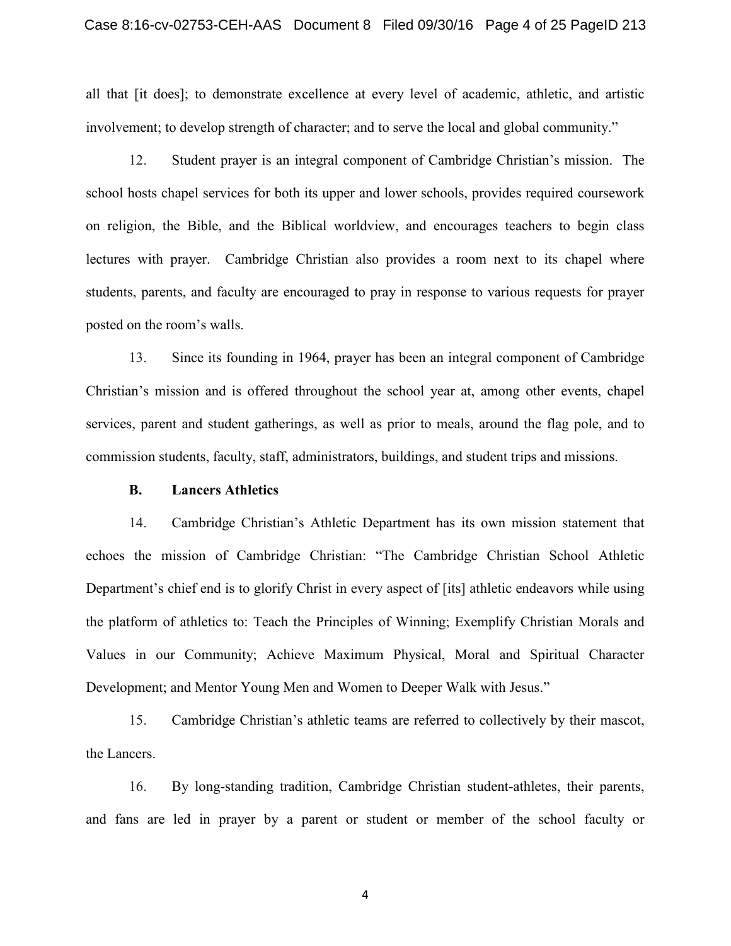all that [it does]; to demonstrate excellence at every level of academic, athletic, and artistic involvement; to develop strength of character; and to serve the local and global community."

12. Student prayer is an integral component of Cambridge Christian's mission. The school hosts chapel services for both its upper and lower schools, provides required coursework on religion, the Bible, and the Biblical worldview, and encourages teachers to begin class lectures with prayer. Cambridge Christian also provides a room next to its chapel where students, parents, and faculty are encouraged to pray in response to various requests for prayer posted on the room's walls.

13. Since its founding in 1964, prayer has been an integral component of Cambridge Christian's mission and is offered throughout the school year at, among other events, chapel services, parent and student gatherings, as well as prior to meals, around the flag pole, and to commission students, faculty, staff, administrators, buildings, and student trips and missions.

## **B. Lancers Athletics**

14. Cambridge Christian's Athletic Department has its own mission statement that echoes the mission of Cambridge Christian: "The Cambridge Christian School Athletic Department's chief end is to glorify Christ in every aspect of [its] athletic endeavors while using the platform of athletics to: Teach the Principles of Winning; Exemplify Christian Morals and Values in our Community; Achieve Maximum Physical, Moral and Spiritual Character Development; and Mentor Young Men and Women to Deeper Walk with Jesus."

15. Cambridge Christian's athletic teams are referred to collectively by their mascot, the Lancers.

16. By long-standing tradition, Cambridge Christian student-athletes, their parents, and fans are led in prayer by a parent or student or member of the school faculty or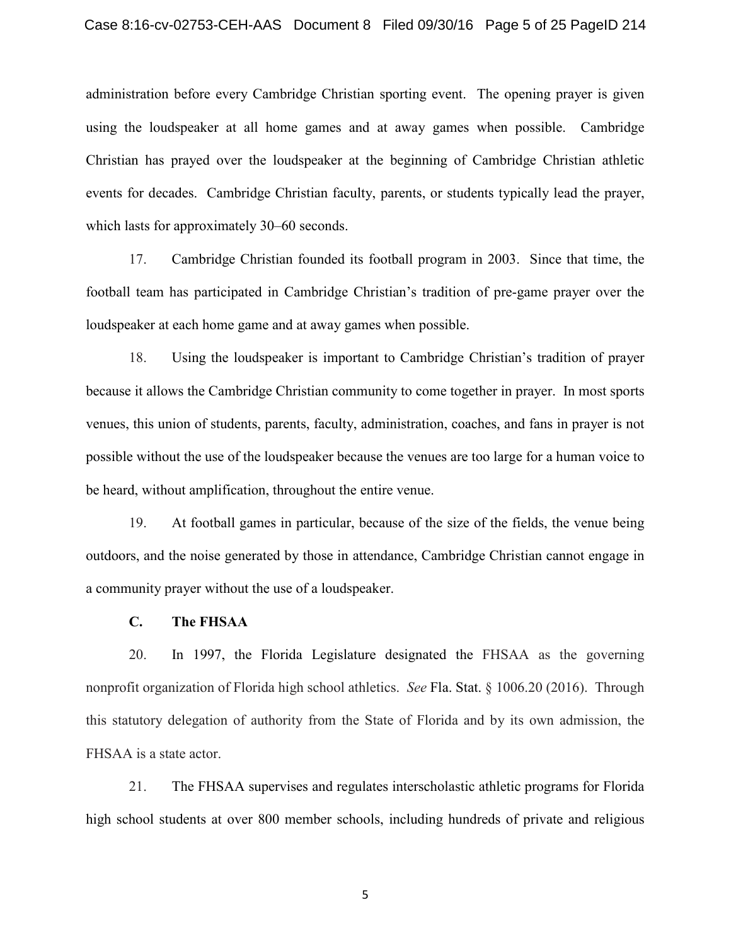#### Case 8:16-cv-02753-CEH-AAS Document 8 Filed 09/30/16 Page 5 of 25 PageID 214

administration before every Cambridge Christian sporting event. The opening prayer is given using the loudspeaker at all home games and at away games when possible. Cambridge Christian has prayed over the loudspeaker at the beginning of Cambridge Christian athletic events for decades. Cambridge Christian faculty, parents, or students typically lead the prayer, which lasts for approximately 30–60 seconds.

17. Cambridge Christian founded its football program in 2003. Since that time, the football team has participated in Cambridge Christian's tradition of pre-game prayer over the loudspeaker at each home game and at away games when possible.

18. Using the loudspeaker is important to Cambridge Christian's tradition of prayer because it allows the Cambridge Christian community to come together in prayer. In most sports venues, this union of students, parents, faculty, administration, coaches, and fans in prayer is not possible without the use of the loudspeaker because the venues are too large for a human voice to be heard, without amplification, throughout the entire venue.

19. At football games in particular, because of the size of the fields, the venue being outdoors, and the noise generated by those in attendance, Cambridge Christian cannot engage in a community prayer without the use of a loudspeaker.

#### **C. The FHSAA**

20. In 1997, the Florida Legislature designated the FHSAA as the governing nonprofit organization of Florida high school athletics. *See* Fla. Stat. § 1006.20 (2016). Through this statutory delegation of authority from the State of Florida and by its own admission, the FHSAA is a state actor.

21. The FHSAA supervises and regulates interscholastic athletic programs for Florida high school students at over 800 member schools, including hundreds of private and religious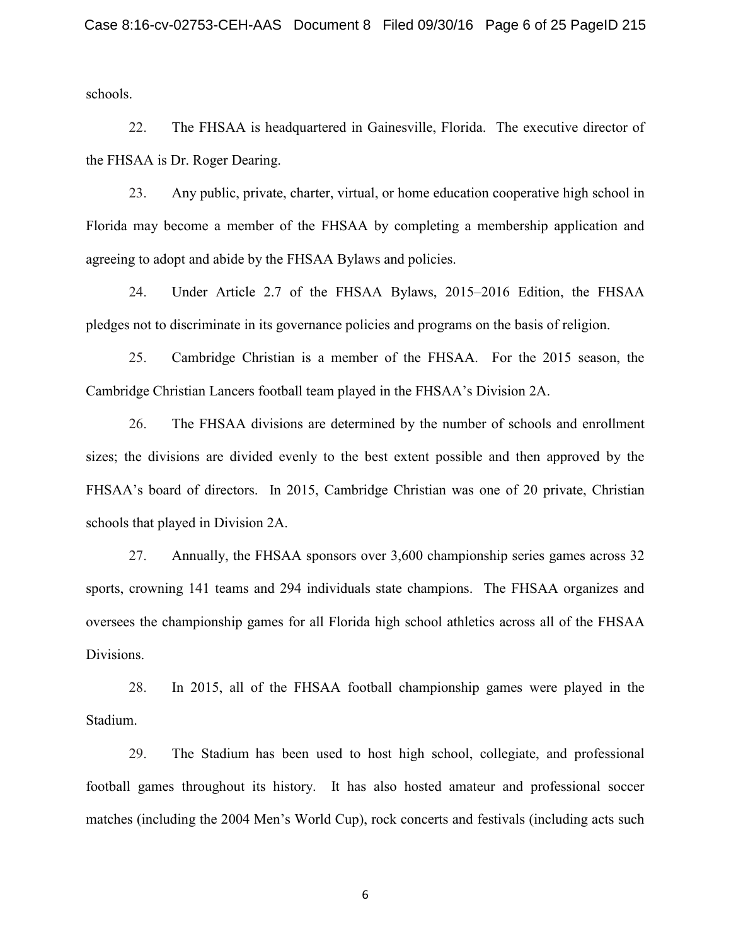schools.

22. The FHSAA is headquartered in Gainesville, Florida. The executive director of the FHSAA is Dr. Roger Dearing.

23. Any public, private, charter, virtual, or home education cooperative high school in Florida may become a member of the FHSAA by completing a membership application and agreeing to adopt and abide by the FHSAA Bylaws and policies.

24. Under Article 2.7 of the FHSAA Bylaws, 2015–2016 Edition, the FHSAA pledges not to discriminate in its governance policies and programs on the basis of religion.

25. Cambridge Christian is a member of the FHSAA. For the 2015 season, the Cambridge Christian Lancers football team played in the FHSAA's Division 2A.

26. The FHSAA divisions are determined by the number of schools and enrollment sizes; the divisions are divided evenly to the best extent possible and then approved by the FHSAA's board of directors. In 2015, Cambridge Christian was one of 20 private, Christian schools that played in Division 2A.

27. Annually, the FHSAA sponsors over 3,600 championship series games across 32 sports, crowning 141 teams and 294 individuals state champions. The FHSAA organizes and oversees the championship games for all Florida high school athletics across all of the FHSAA Divisions.

28. In 2015, all of the FHSAA football championship games were played in the Stadium.

29. The Stadium has been used to host high school, collegiate, and professional football games throughout its history. It has also hosted amateur and professional soccer matches (including the 2004 Men's World Cup), rock concerts and festivals (including acts such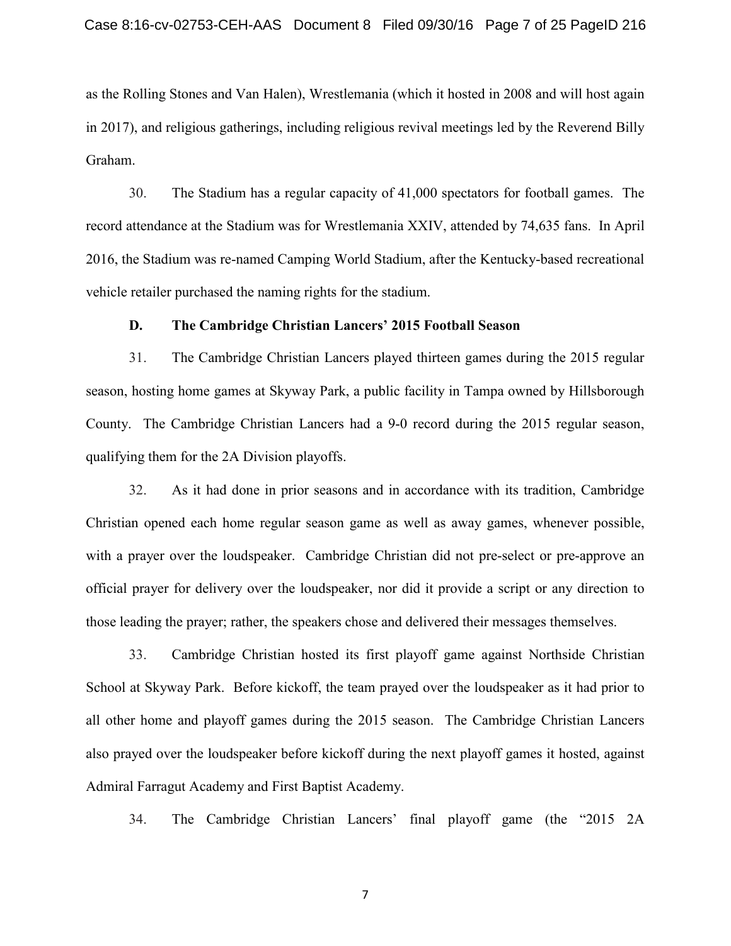as the Rolling Stones and Van Halen), Wrestlemania (which it hosted in 2008 and will host again in 2017), and religious gatherings, including religious revival meetings led by the Reverend Billy Graham.

30. The Stadium has a regular capacity of 41,000 spectators for football games. The record attendance at the Stadium was for Wrestlemania XXIV, attended by 74,635 fans. In April 2016, the Stadium was re-named Camping World Stadium, after the Kentucky-based recreational vehicle retailer purchased the naming rights for the stadium.

#### **D. The Cambridge Christian Lancers' 2015 Football Season**

31. The Cambridge Christian Lancers played thirteen games during the 2015 regular season, hosting home games at Skyway Park, a public facility in Tampa owned by Hillsborough County. The Cambridge Christian Lancers had a 9-0 record during the 2015 regular season, qualifying them for the 2A Division playoffs.

32. As it had done in prior seasons and in accordance with its tradition, Cambridge Christian opened each home regular season game as well as away games, whenever possible, with a prayer over the loudspeaker. Cambridge Christian did not pre-select or pre-approve an official prayer for delivery over the loudspeaker, nor did it provide a script or any direction to those leading the prayer; rather, the speakers chose and delivered their messages themselves.

33. Cambridge Christian hosted its first playoff game against Northside Christian School at Skyway Park. Before kickoff, the team prayed over the loudspeaker as it had prior to all other home and playoff games during the 2015 season. The Cambridge Christian Lancers also prayed over the loudspeaker before kickoff during the next playoff games it hosted, against Admiral Farragut Academy and First Baptist Academy.

34. The Cambridge Christian Lancers' final playoff game (the "2015 2A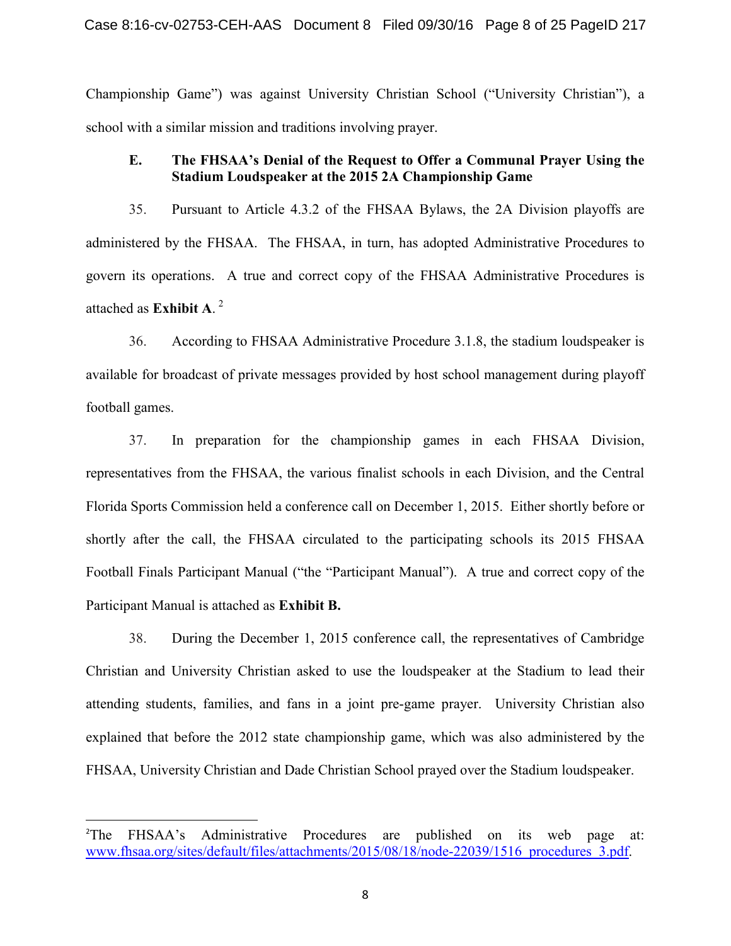Championship Game") was against University Christian School ("University Christian"), a school with a similar mission and traditions involving prayer.

# **E. The FHSAA's Denial of the Request to Offer a Communal Prayer Using the Stadium Loudspeaker at the 2015 2A Championship Game**

35. Pursuant to Article 4.3.2 of the FHSAA Bylaws, the 2A Division playoffs are administered by the FHSAA. The FHSAA, in turn, has adopted Administrative Procedures to govern its operations. A true and correct copy of the FHSAA Administrative Procedures is attached as **Exhibit A**. [2](#page-7-0)

36. According to FHSAA Administrative Procedure 3.1.8, the stadium loudspeaker is available for broadcast of private messages provided by host school management during playoff football games.

37. In preparation for the championship games in each FHSAA Division, representatives from the FHSAA, the various finalist schools in each Division, and the Central Florida Sports Commission held a conference call on December 1, 2015. Either shortly before or shortly after the call, the FHSAA circulated to the participating schools its 2015 FHSAA Football Finals Participant Manual ("the "Participant Manual"). A true and correct copy of the Participant Manual is attached as **Exhibit B.**

38. During the December 1, 2015 conference call, the representatives of Cambridge Christian and University Christian asked to use the loudspeaker at the Stadium to lead their attending students, families, and fans in a joint pre-game prayer. University Christian also explained that before the 2012 state championship game, which was also administered by the FHSAA, University Christian and Dade Christian School prayed over the Stadium loudspeaker.

<span id="page-7-0"></span> $\overline{2}$ <sup>2</sup>The FHSAA's Administrative Procedures are published on its web page at: [www.fhsaa.org/sites/default/files/attachments/2015/08/18/node-22039/1516\\_procedures\\_3.pdf.](http://www.fhsaa.org/sites/default/files/attachments/2015/08/18/node-22039/1516_procedures_3.pdf)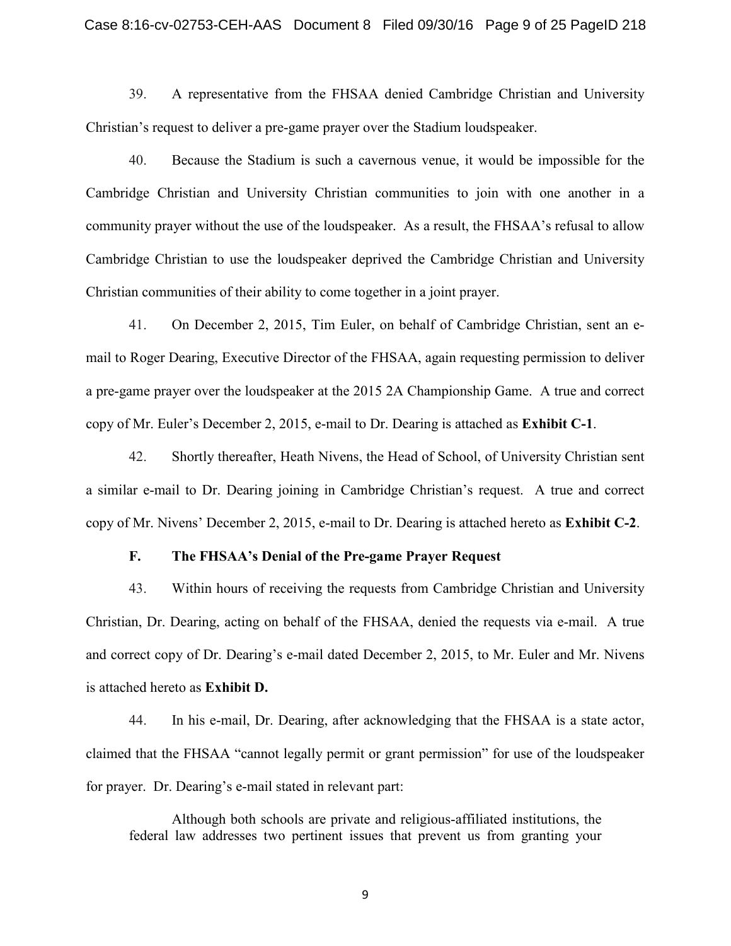39. A representative from the FHSAA denied Cambridge Christian and University Christian's request to deliver a pre-game prayer over the Stadium loudspeaker.

40. Because the Stadium is such a cavernous venue, it would be impossible for the Cambridge Christian and University Christian communities to join with one another in a community prayer without the use of the loudspeaker. As a result, the FHSAA's refusal to allow Cambridge Christian to use the loudspeaker deprived the Cambridge Christian and University Christian communities of their ability to come together in a joint prayer.

41. On December 2, 2015, Tim Euler, on behalf of Cambridge Christian, sent an email to Roger Dearing, Executive Director of the FHSAA, again requesting permission to deliver a pre-game prayer over the loudspeaker at the 2015 2A Championship Game. A true and correct copy of Mr. Euler's December 2, 2015, e-mail to Dr. Dearing is attached as **Exhibit C-1**.

42. Shortly thereafter, Heath Nivens, the Head of School, of University Christian sent a similar e-mail to Dr. Dearing joining in Cambridge Christian's request. A true and correct copy of Mr. Nivens' December 2, 2015, e-mail to Dr. Dearing is attached hereto as **Exhibit C-2**.

## **F. The FHSAA's Denial of the Pre-game Prayer Request**

43. Within hours of receiving the requests from Cambridge Christian and University Christian, Dr. Dearing, acting on behalf of the FHSAA, denied the requests via e-mail. A true and correct copy of Dr. Dearing's e-mail dated December 2, 2015, to Mr. Euler and Mr. Nivens is attached hereto as **Exhibit D.**

44. In his e-mail, Dr. Dearing, after acknowledging that the FHSAA is a state actor, claimed that the FHSAA "cannot legally permit or grant permission" for use of the loudspeaker for prayer. Dr. Dearing's e-mail stated in relevant part:

Although both schools are private and religious-affiliated institutions, the federal law addresses two pertinent issues that prevent us from granting your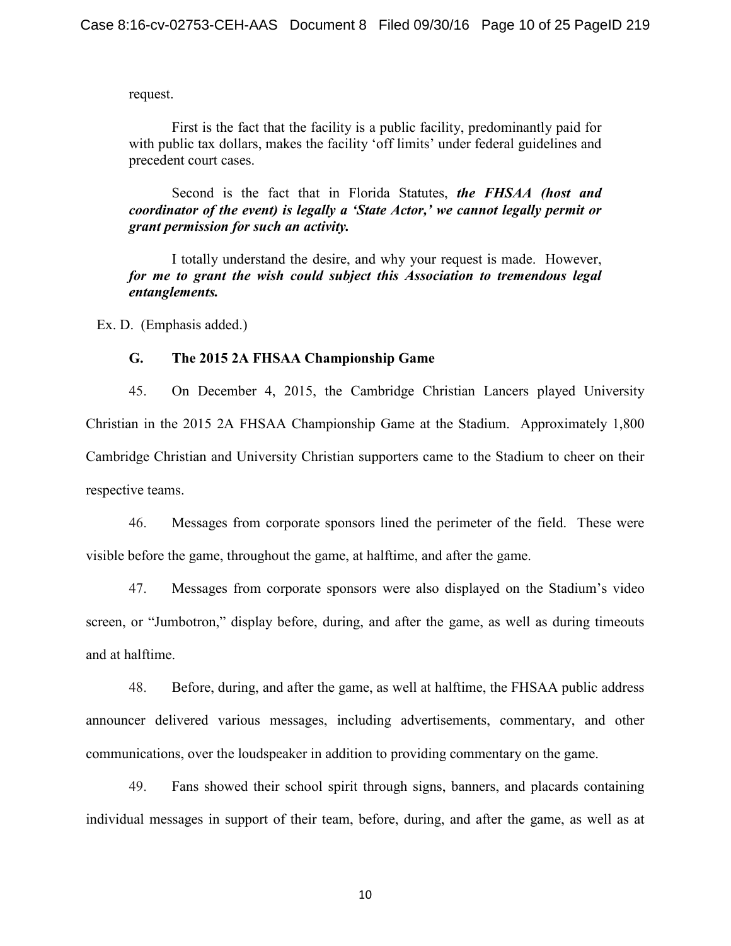request.

First is the fact that the facility is a public facility, predominantly paid for with public tax dollars, makes the facility 'off limits' under federal guidelines and precedent court cases.

Second is the fact that in Florida Statutes, *the FHSAA (host and coordinator of the event) is legally a 'State Actor,' we cannot legally permit or grant permission for such an activity.*

I totally understand the desire, and why your request is made. However, *for me to grant the wish could subject this Association to tremendous legal entanglements.*

Ex. D. (Emphasis added.)

### **G. The 2015 2A FHSAA Championship Game**

45. On December 4, 2015, the Cambridge Christian Lancers played University Christian in the 2015 2A FHSAA Championship Game at the Stadium. Approximately 1,800 Cambridge Christian and University Christian supporters came to the Stadium to cheer on their respective teams.

46. Messages from corporate sponsors lined the perimeter of the field. These were visible before the game, throughout the game, at halftime, and after the game.

47. Messages from corporate sponsors were also displayed on the Stadium's video screen, or "Jumbotron," display before, during, and after the game, as well as during timeouts and at halftime.

48. Before, during, and after the game, as well at halftime, the FHSAA public address announcer delivered various messages, including advertisements, commentary, and other communications, over the loudspeaker in addition to providing commentary on the game.

49. Fans showed their school spirit through signs, banners, and placards containing individual messages in support of their team, before, during, and after the game, as well as at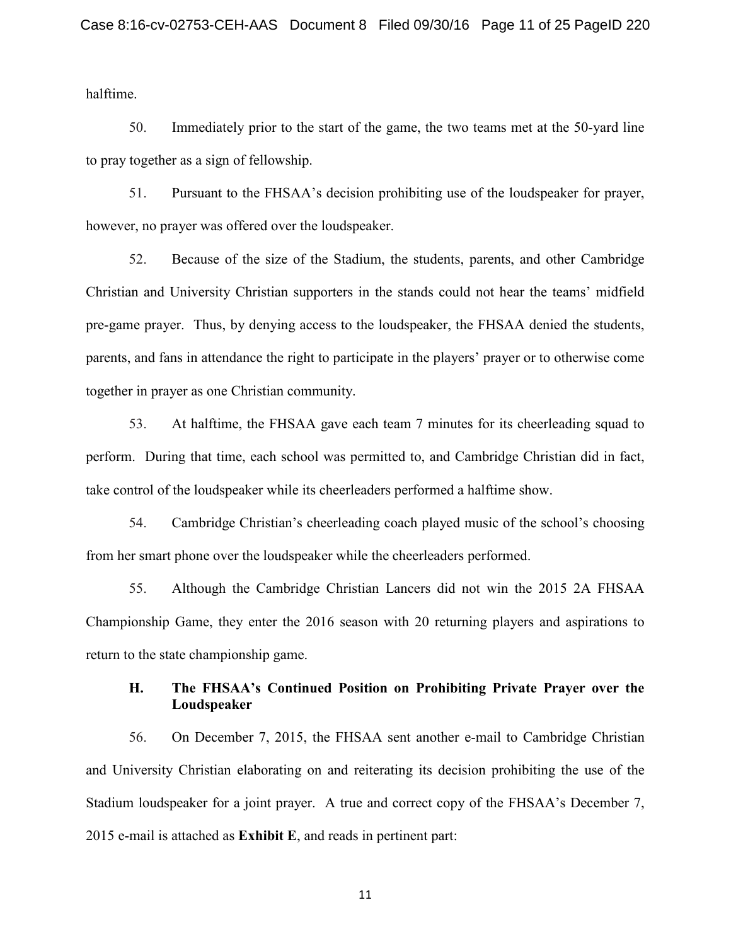halftime.

50. Immediately prior to the start of the game, the two teams met at the 50-yard line to pray together as a sign of fellowship.

51. Pursuant to the FHSAA's decision prohibiting use of the loudspeaker for prayer, however, no prayer was offered over the loudspeaker.

52. Because of the size of the Stadium, the students, parents, and other Cambridge Christian and University Christian supporters in the stands could not hear the teams' midfield pre-game prayer. Thus, by denying access to the loudspeaker, the FHSAA denied the students, parents, and fans in attendance the right to participate in the players' prayer or to otherwise come together in prayer as one Christian community.

53. At halftime, the FHSAA gave each team 7 minutes for its cheerleading squad to perform. During that time, each school was permitted to, and Cambridge Christian did in fact, take control of the loudspeaker while its cheerleaders performed a halftime show.

54. Cambridge Christian's cheerleading coach played music of the school's choosing from her smart phone over the loudspeaker while the cheerleaders performed.

55. Although the Cambridge Christian Lancers did not win the 2015 2A FHSAA Championship Game, they enter the 2016 season with 20 returning players and aspirations to return to the state championship game.

## **H. The FHSAA's Continued Position on Prohibiting Private Prayer over the Loudspeaker**

56. On December 7, 2015, the FHSAA sent another e-mail to Cambridge Christian and University Christian elaborating on and reiterating its decision prohibiting the use of the Stadium loudspeaker for a joint prayer. A true and correct copy of the FHSAA's December 7, 2015 e-mail is attached as **Exhibit E**, and reads in pertinent part: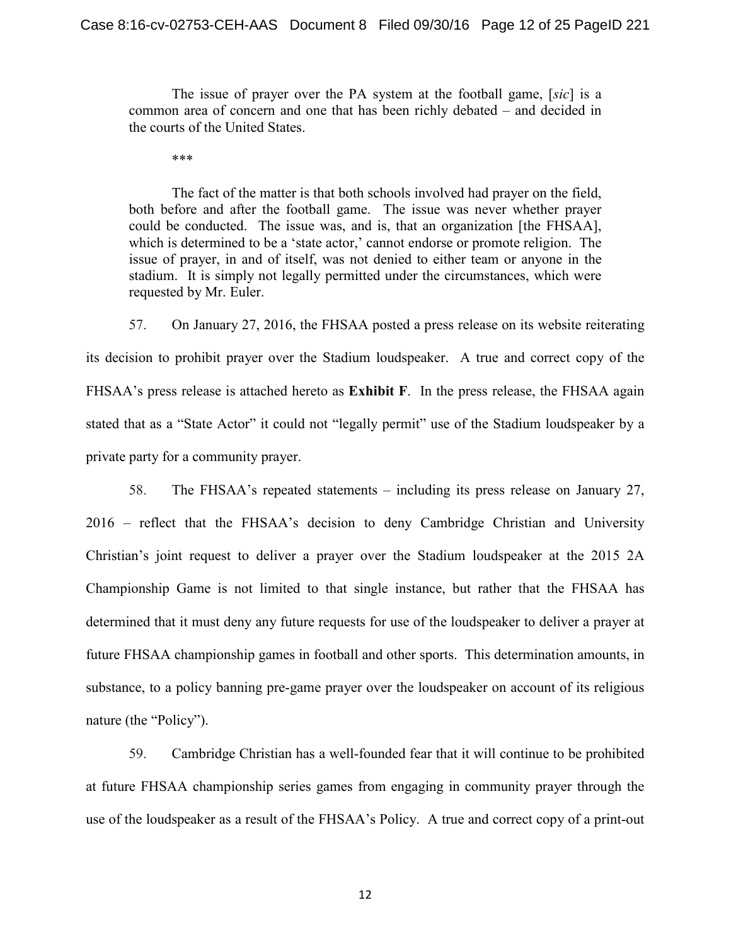The issue of prayer over the PA system at the football game, [*sic*] is a common area of concern and one that has been richly debated – and decided in the courts of the United States.

\*\*\*

The fact of the matter is that both schools involved had prayer on the field, both before and after the football game. The issue was never whether prayer could be conducted. The issue was, and is, that an organization [the FHSAA], which is determined to be a 'state actor,' cannot endorse or promote religion. The issue of prayer, in and of itself, was not denied to either team or anyone in the stadium. It is simply not legally permitted under the circumstances, which were requested by Mr. Euler.

57. On January 27, 2016, the FHSAA posted a press release on its website reiterating its decision to prohibit prayer over the Stadium loudspeaker. A true and correct copy of the FHSAA's press release is attached hereto as **Exhibit F**. In the press release, the FHSAA again stated that as a "State Actor" it could not "legally permit" use of the Stadium loudspeaker by a private party for a community prayer.

58. The FHSAA's repeated statements – including its press release on January 27, 2016 – reflect that the FHSAA's decision to deny Cambridge Christian and University Christian's joint request to deliver a prayer over the Stadium loudspeaker at the 2015 2A Championship Game is not limited to that single instance, but rather that the FHSAA has determined that it must deny any future requests for use of the loudspeaker to deliver a prayer at future FHSAA championship games in football and other sports. This determination amounts, in substance, to a policy banning pre-game prayer over the loudspeaker on account of its religious nature (the "Policy").

59. Cambridge Christian has a well-founded fear that it will continue to be prohibited at future FHSAA championship series games from engaging in community prayer through the use of the loudspeaker as a result of the FHSAA's Policy. A true and correct copy of a print-out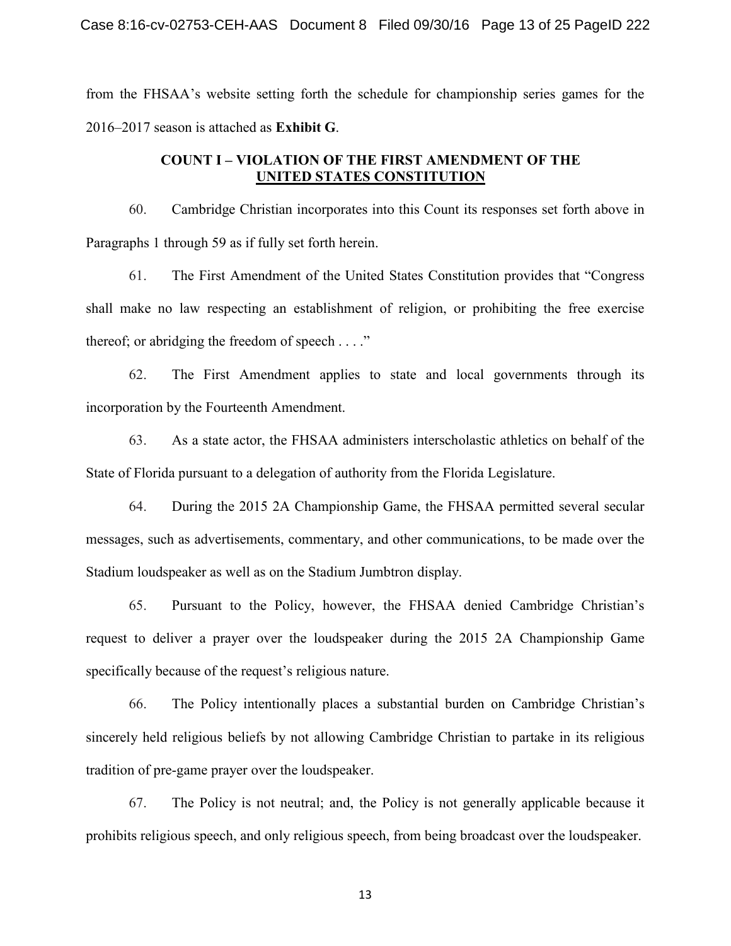from the FHSAA's website setting forth the schedule for championship series games for the 2016–2017 season is attached as **Exhibit G**.

## **COUNT I – VIOLATION OF THE FIRST AMENDMENT OF THE UNITED STATES CONSTITUTION**

60. Cambridge Christian incorporates into this Count its responses set forth above in Paragraphs 1 through 59 as if fully set forth herein.

61. The First Amendment of the United States Constitution provides that "Congress shall make no law respecting an establishment of religion, or prohibiting the free exercise thereof; or abridging the freedom of speech . . . ."

62. The First Amendment applies to state and local governments through its incorporation by the Fourteenth Amendment.

63. As a state actor, the FHSAA administers interscholastic athletics on behalf of the State of Florida pursuant to a delegation of authority from the Florida Legislature.

64. During the 2015 2A Championship Game, the FHSAA permitted several secular messages, such as advertisements, commentary, and other communications, to be made over the Stadium loudspeaker as well as on the Stadium Jumbtron display.

65. Pursuant to the Policy, however, the FHSAA denied Cambridge Christian's request to deliver a prayer over the loudspeaker during the 2015 2A Championship Game specifically because of the request's religious nature.

66. The Policy intentionally places a substantial burden on Cambridge Christian's sincerely held religious beliefs by not allowing Cambridge Christian to partake in its religious tradition of pre-game prayer over the loudspeaker.

67. The Policy is not neutral; and, the Policy is not generally applicable because it prohibits religious speech, and only religious speech, from being broadcast over the loudspeaker.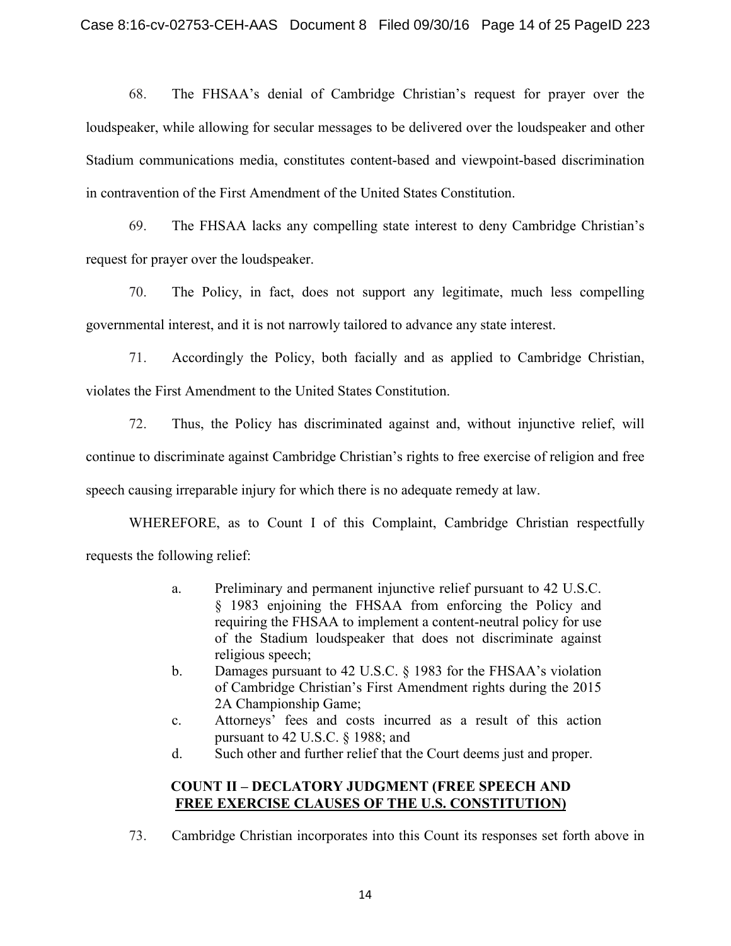68. The FHSAA's denial of Cambridge Christian's request for prayer over the loudspeaker, while allowing for secular messages to be delivered over the loudspeaker and other Stadium communications media, constitutes content-based and viewpoint-based discrimination in contravention of the First Amendment of the United States Constitution.

69. The FHSAA lacks any compelling state interest to deny Cambridge Christian's request for prayer over the loudspeaker.

70. The Policy, in fact, does not support any legitimate, much less compelling governmental interest, and it is not narrowly tailored to advance any state interest.

71. Accordingly the Policy, both facially and as applied to Cambridge Christian, violates the First Amendment to the United States Constitution.

72. Thus, the Policy has discriminated against and, without injunctive relief, will continue to discriminate against Cambridge Christian's rights to free exercise of religion and free speech causing irreparable injury for which there is no adequate remedy at law.

WHEREFORE, as to Count I of this Complaint, Cambridge Christian respectfully requests the following relief:

- a. Preliminary and permanent injunctive relief pursuant to 42 U.S.C. § 1983 enjoining the FHSAA from enforcing the Policy and requiring the FHSAA to implement a content-neutral policy for use of the Stadium loudspeaker that does not discriminate against religious speech;
- b. Damages pursuant to 42 U.S.C. § 1983 for the FHSAA's violation of Cambridge Christian's First Amendment rights during the 2015 2A Championship Game;
- c. Attorneys' fees and costs incurred as a result of this action pursuant to 42 U.S.C. § 1988; and
- d. Such other and further relief that the Court deems just and proper.

## **COUNT II – DECLATORY JUDGMENT (FREE SPEECH AND FREE EXERCISE CLAUSES OF THE U.S. CONSTITUTION)**

73. Cambridge Christian incorporates into this Count its responses set forth above in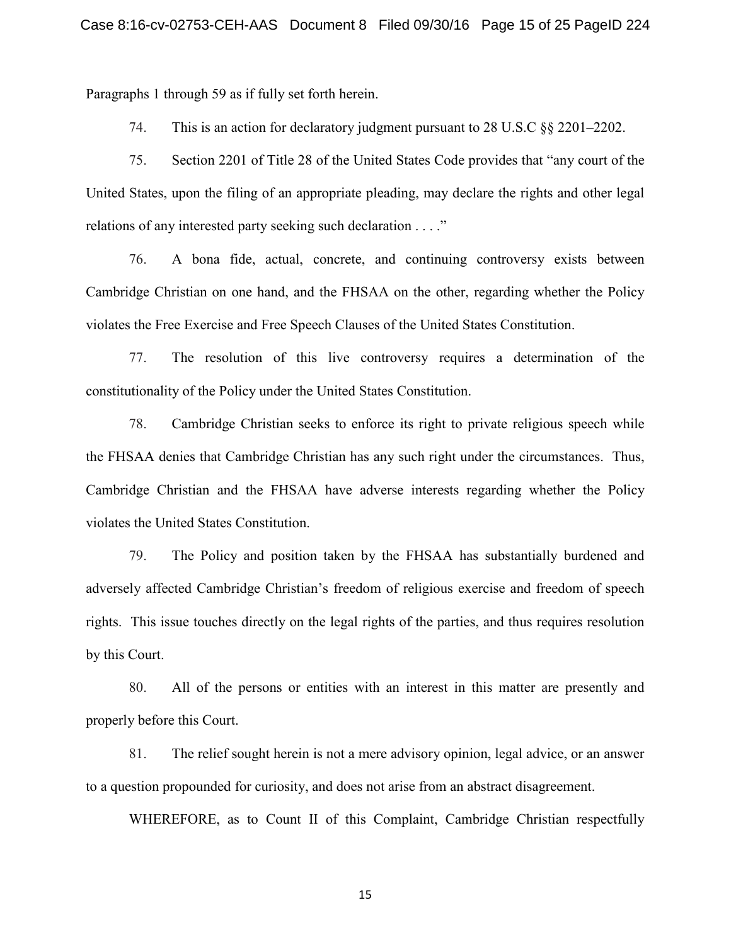Paragraphs 1 through 59 as if fully set forth herein.

74. This is an action for declaratory judgment pursuant to 28 U.S.C §§ 2201–2202.

75. Section 2201 of Title 28 of the United States Code provides that "any court of the United States, upon the filing of an appropriate pleading, may declare the rights and other legal relations of any interested party seeking such declaration . . . ."

76. A bona fide, actual, concrete, and continuing controversy exists between Cambridge Christian on one hand, and the FHSAA on the other, regarding whether the Policy violates the Free Exercise and Free Speech Clauses of the United States Constitution.

77. The resolution of this live controversy requires a determination of the constitutionality of the Policy under the United States Constitution.

78. Cambridge Christian seeks to enforce its right to private religious speech while the FHSAA denies that Cambridge Christian has any such right under the circumstances. Thus, Cambridge Christian and the FHSAA have adverse interests regarding whether the Policy violates the United States Constitution.

79. The Policy and position taken by the FHSAA has substantially burdened and adversely affected Cambridge Christian's freedom of religious exercise and freedom of speech rights. This issue touches directly on the legal rights of the parties, and thus requires resolution by this Court.

80. All of the persons or entities with an interest in this matter are presently and properly before this Court.

81. The relief sought herein is not a mere advisory opinion, legal advice, or an answer to a question propounded for curiosity, and does not arise from an abstract disagreement.

WHEREFORE, as to Count II of this Complaint, Cambridge Christian respectfully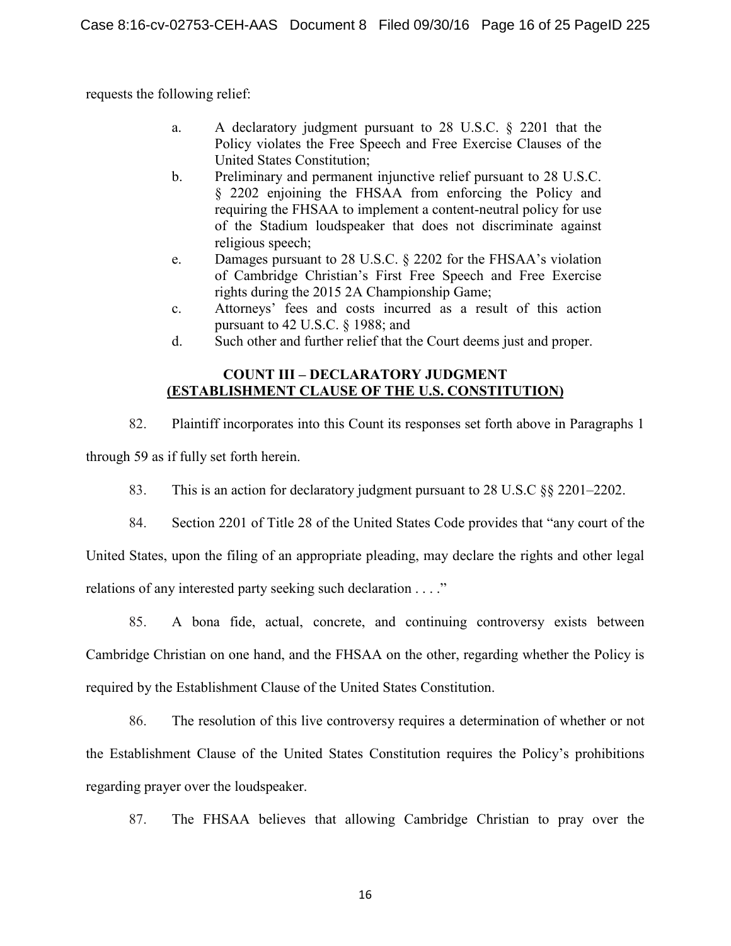requests the following relief:

- a. A declaratory judgment pursuant to 28 U.S.C. § 2201 that the Policy violates the Free Speech and Free Exercise Clauses of the United States Constitution;
- b. Preliminary and permanent injunctive relief pursuant to 28 U.S.C. § 2202 enjoining the FHSAA from enforcing the Policy and requiring the FHSAA to implement a content-neutral policy for use of the Stadium loudspeaker that does not discriminate against religious speech;
- e. Damages pursuant to 28 U.S.C. § 2202 for the FHSAA's violation of Cambridge Christian's First Free Speech and Free Exercise rights during the 2015 2A Championship Game;
- c. Attorneys' fees and costs incurred as a result of this action pursuant to 42 U.S.C. § 1988; and
- d. Such other and further relief that the Court deems just and proper.

# **COUNT III – DECLARATORY JUDGMENT (ESTABLISHMENT CLAUSE OF THE U.S. CONSTITUTION)**

82. Plaintiff incorporates into this Count its responses set forth above in Paragraphs 1 through 59 as if fully set forth herein.

- 83. This is an action for declaratory judgment pursuant to 28 U.S.C §§ 2201–2202.
- 84. Section 2201 of Title 28 of the United States Code provides that "any court of the

United States, upon the filing of an appropriate pleading, may declare the rights and other legal relations of any interested party seeking such declaration . . . ."

85. A bona fide, actual, concrete, and continuing controversy exists between Cambridge Christian on one hand, and the FHSAA on the other, regarding whether the Policy is required by the Establishment Clause of the United States Constitution.

86. The resolution of this live controversy requires a determination of whether or not the Establishment Clause of the United States Constitution requires the Policy's prohibitions regarding prayer over the loudspeaker.

87. The FHSAA believes that allowing Cambridge Christian to pray over the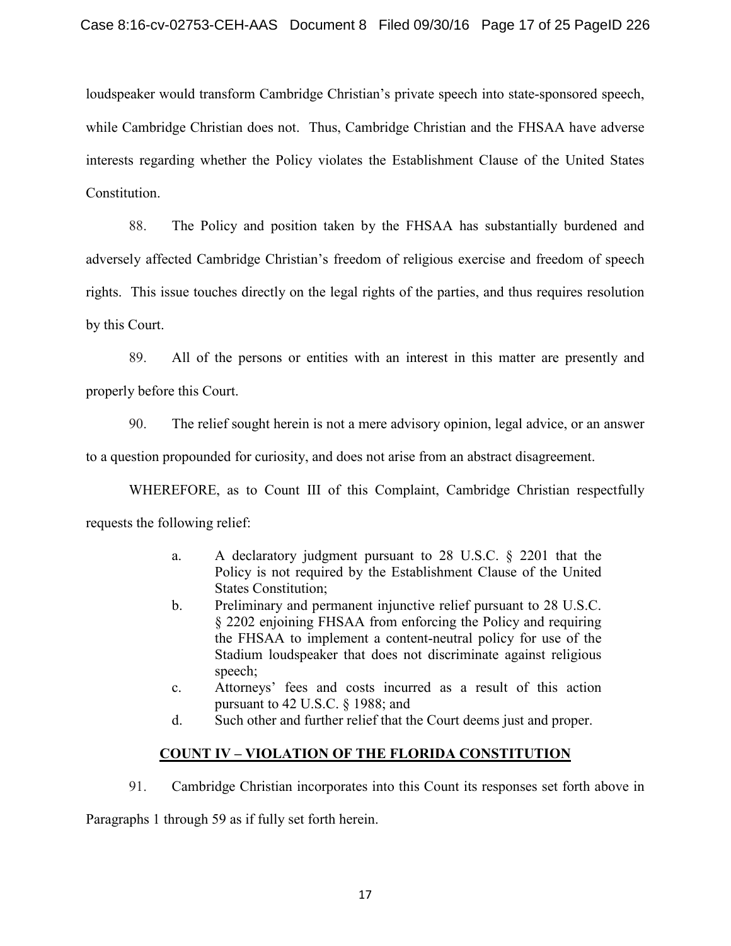loudspeaker would transform Cambridge Christian's private speech into state-sponsored speech, while Cambridge Christian does not. Thus, Cambridge Christian and the FHSAA have adverse interests regarding whether the Policy violates the Establishment Clause of the United States Constitution.

88. The Policy and position taken by the FHSAA has substantially burdened and adversely affected Cambridge Christian's freedom of religious exercise and freedom of speech rights. This issue touches directly on the legal rights of the parties, and thus requires resolution by this Court.

89. All of the persons or entities with an interest in this matter are presently and properly before this Court.

90. The relief sought herein is not a mere advisory opinion, legal advice, or an answer

to a question propounded for curiosity, and does not arise from an abstract disagreement.

WHEREFORE, as to Count III of this Complaint, Cambridge Christian respectfully requests the following relief:

- a. A declaratory judgment pursuant to 28 U.S.C. § 2201 that the Policy is not required by the Establishment Clause of the United States Constitution;
- b. Preliminary and permanent injunctive relief pursuant to 28 U.S.C. § 2202 enjoining FHSAA from enforcing the Policy and requiring the FHSAA to implement a content-neutral policy for use of the Stadium loudspeaker that does not discriminate against religious speech;
- c. Attorneys' fees and costs incurred as a result of this action pursuant to 42 U.S.C. § 1988; and
- d. Such other and further relief that the Court deems just and proper.

# **COUNT IV – VIOLATION OF THE FLORIDA CONSTITUTION**

91. Cambridge Christian incorporates into this Count its responses set forth above in

Paragraphs 1 through 59 as if fully set forth herein.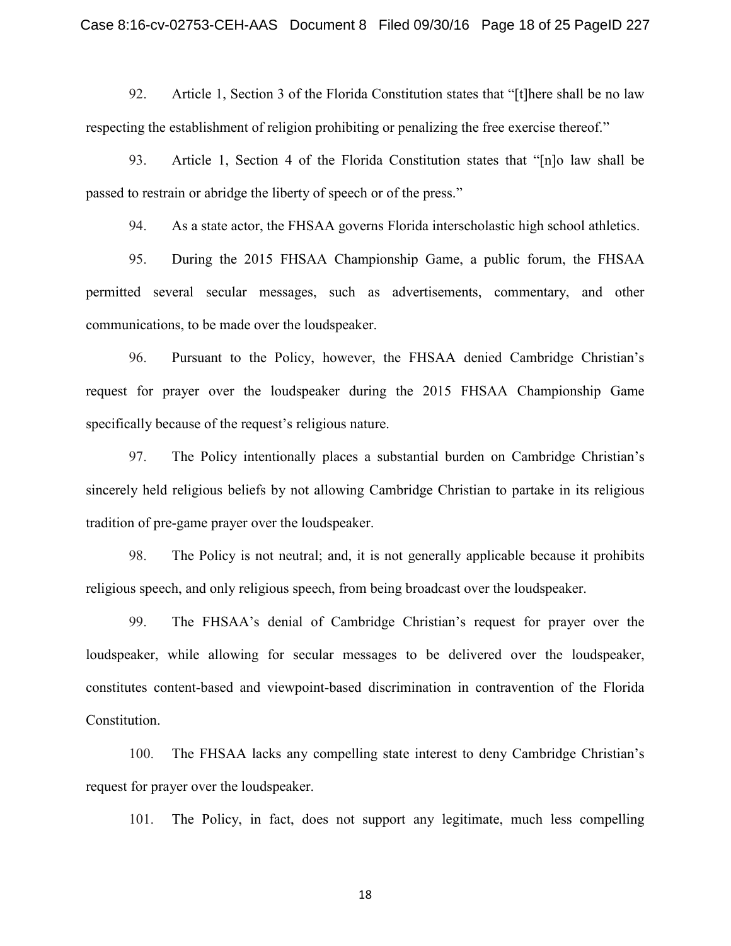92. Article 1, Section 3 of the Florida Constitution states that "[t]here shall be no law respecting the establishment of religion prohibiting or penalizing the free exercise thereof."

93. Article 1, Section 4 of the Florida Constitution states that "[n]o law shall be passed to restrain or abridge the liberty of speech or of the press."

94. As a state actor, the FHSAA governs Florida interscholastic high school athletics.

95. During the 2015 FHSAA Championship Game, a public forum, the FHSAA permitted several secular messages, such as advertisements, commentary, and other communications, to be made over the loudspeaker.

96. Pursuant to the Policy, however, the FHSAA denied Cambridge Christian's request for prayer over the loudspeaker during the 2015 FHSAA Championship Game specifically because of the request's religious nature.

97. The Policy intentionally places a substantial burden on Cambridge Christian's sincerely held religious beliefs by not allowing Cambridge Christian to partake in its religious tradition of pre-game prayer over the loudspeaker.

98. The Policy is not neutral; and, it is not generally applicable because it prohibits religious speech, and only religious speech, from being broadcast over the loudspeaker.

99. The FHSAA's denial of Cambridge Christian's request for prayer over the loudspeaker, while allowing for secular messages to be delivered over the loudspeaker, constitutes content-based and viewpoint-based discrimination in contravention of the Florida Constitution.

100. The FHSAA lacks any compelling state interest to deny Cambridge Christian's request for prayer over the loudspeaker.

101. The Policy, in fact, does not support any legitimate, much less compelling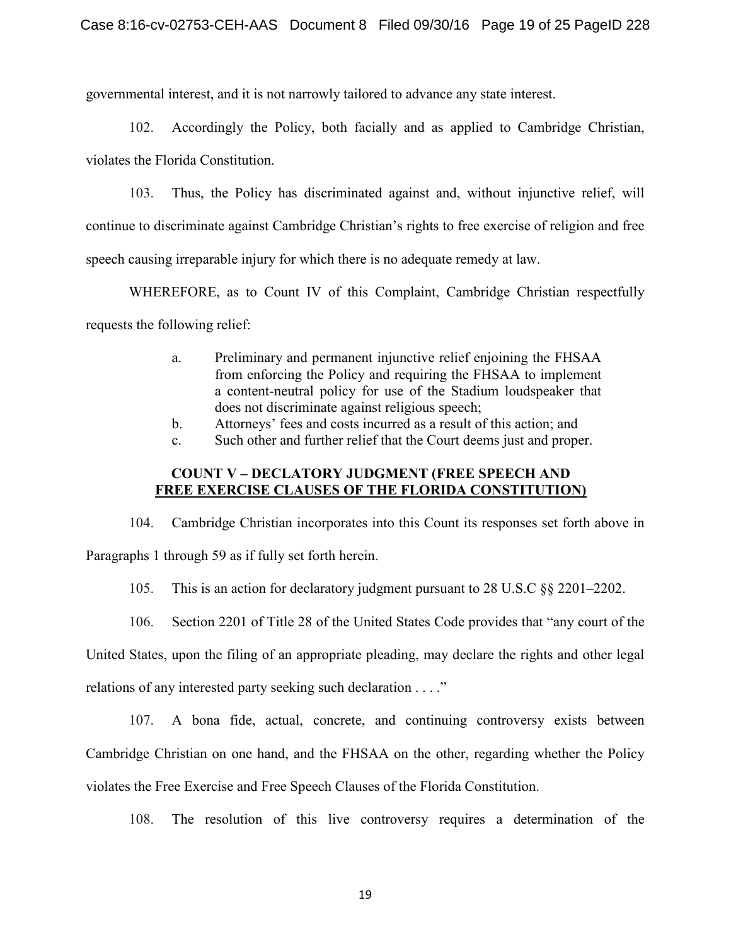governmental interest, and it is not narrowly tailored to advance any state interest.

102. Accordingly the Policy, both facially and as applied to Cambridge Christian, violates the Florida Constitution.

103. Thus, the Policy has discriminated against and, without injunctive relief, will continue to discriminate against Cambridge Christian's rights to free exercise of religion and free speech causing irreparable injury for which there is no adequate remedy at law.

WHEREFORE, as to Count IV of this Complaint, Cambridge Christian respectfully requests the following relief:

- a. Preliminary and permanent injunctive relief enjoining the FHSAA from enforcing the Policy and requiring the FHSAA to implement a content-neutral policy for use of the Stadium loudspeaker that does not discriminate against religious speech;
- b. Attorneys' fees and costs incurred as a result of this action; and
- c. Such other and further relief that the Court deems just and proper.

## **COUNT V – DECLATORY JUDGMENT (FREE SPEECH AND FREE EXERCISE CLAUSES OF THE FLORIDA CONSTITUTION)**

104. Cambridge Christian incorporates into this Count its responses set forth above in Paragraphs 1 through 59 as if fully set forth herein.

105. This is an action for declaratory judgment pursuant to 28 U.S.C §§ 2201–2202.

106. Section 2201 of Title 28 of the United States Code provides that "any court of the

United States, upon the filing of an appropriate pleading, may declare the rights and other legal

relations of any interested party seeking such declaration . . . ."

107. A bona fide, actual, concrete, and continuing controversy exists between Cambridge Christian on one hand, and the FHSAA on the other, regarding whether the Policy violates the Free Exercise and Free Speech Clauses of the Florida Constitution.

108. The resolution of this live controversy requires a determination of the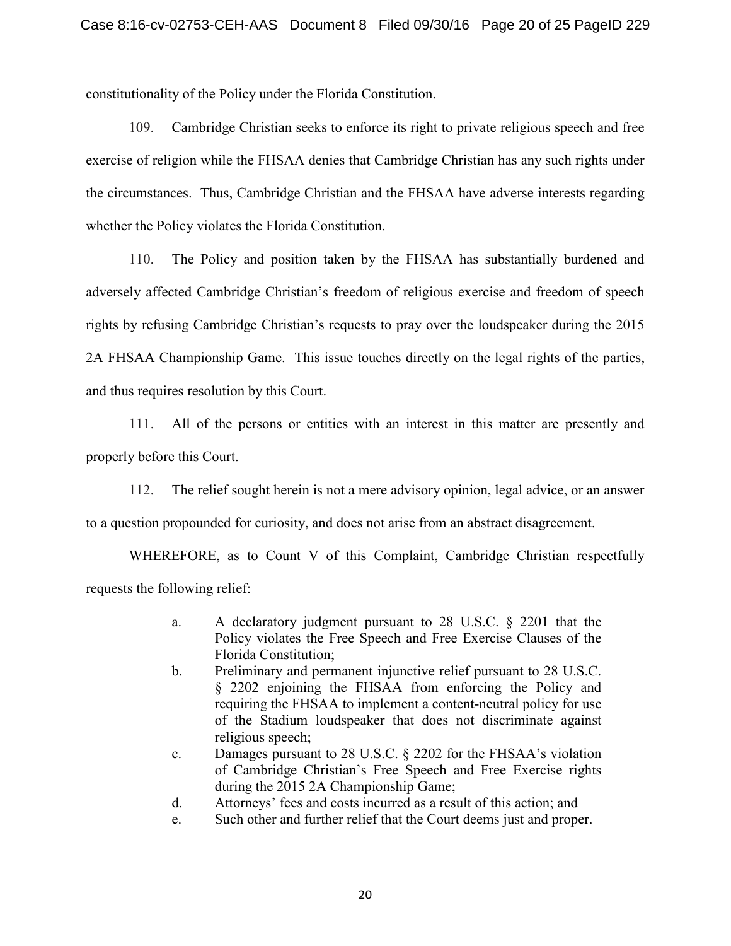constitutionality of the Policy under the Florida Constitution.

109. Cambridge Christian seeks to enforce its right to private religious speech and free exercise of religion while the FHSAA denies that Cambridge Christian has any such rights under the circumstances. Thus, Cambridge Christian and the FHSAA have adverse interests regarding whether the Policy violates the Florida Constitution.

110. The Policy and position taken by the FHSAA has substantially burdened and adversely affected Cambridge Christian's freedom of religious exercise and freedom of speech rights by refusing Cambridge Christian's requests to pray over the loudspeaker during the 2015 2A FHSAA Championship Game. This issue touches directly on the legal rights of the parties, and thus requires resolution by this Court.

111. All of the persons or entities with an interest in this matter are presently and properly before this Court.

112. The relief sought herein is not a mere advisory opinion, legal advice, or an answer to a question propounded for curiosity, and does not arise from an abstract disagreement.

WHEREFORE, as to Count V of this Complaint, Cambridge Christian respectfully requests the following relief:

- a. A declaratory judgment pursuant to 28 U.S.C. § 2201 that the Policy violates the Free Speech and Free Exercise Clauses of the Florida Constitution;
- b. Preliminary and permanent injunctive relief pursuant to 28 U.S.C. § 2202 enjoining the FHSAA from enforcing the Policy and requiring the FHSAA to implement a content-neutral policy for use of the Stadium loudspeaker that does not discriminate against religious speech;
- c. Damages pursuant to 28 U.S.C. § 2202 for the FHSAA's violation of Cambridge Christian's Free Speech and Free Exercise rights during the 2015 2A Championship Game;
- d. Attorneys' fees and costs incurred as a result of this action; and
- e. Such other and further relief that the Court deems just and proper.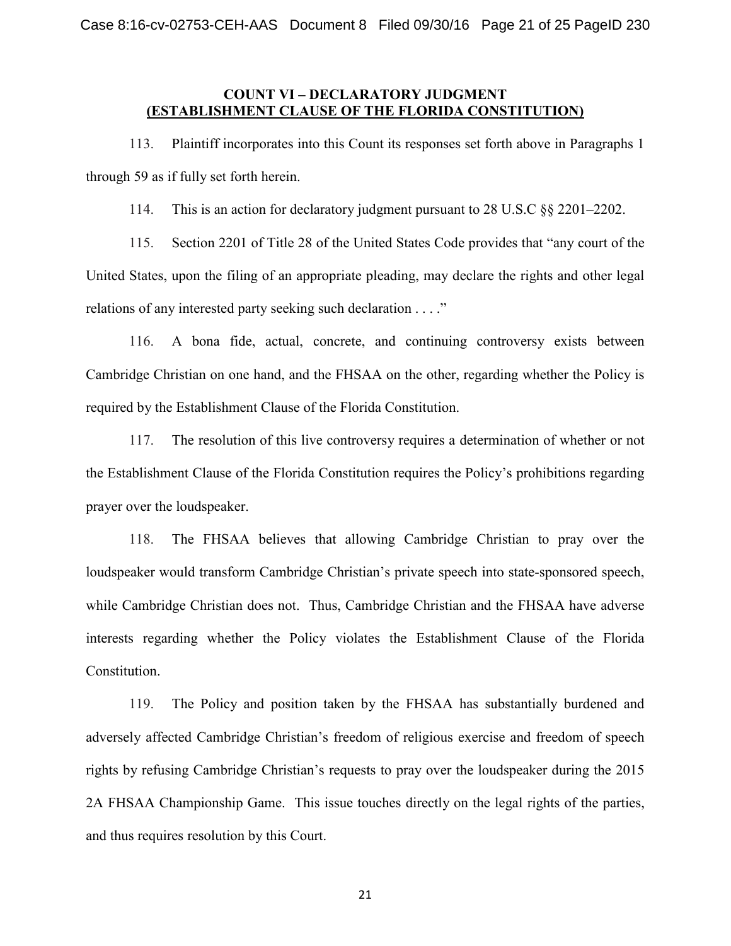## **COUNT VI – DECLARATORY JUDGMENT (ESTABLISHMENT CLAUSE OF THE FLORIDA CONSTITUTION)**

113. Plaintiff incorporates into this Count its responses set forth above in Paragraphs 1 through 59 as if fully set forth herein.

114. This is an action for declaratory judgment pursuant to 28 U.S.C §§ 2201–2202.

115. Section 2201 of Title 28 of the United States Code provides that "any court of the United States, upon the filing of an appropriate pleading, may declare the rights and other legal relations of any interested party seeking such declaration . . . ."

116. A bona fide, actual, concrete, and continuing controversy exists between Cambridge Christian on one hand, and the FHSAA on the other, regarding whether the Policy is required by the Establishment Clause of the Florida Constitution.

117. The resolution of this live controversy requires a determination of whether or not the Establishment Clause of the Florida Constitution requires the Policy's prohibitions regarding prayer over the loudspeaker.

118. The FHSAA believes that allowing Cambridge Christian to pray over the loudspeaker would transform Cambridge Christian's private speech into state-sponsored speech, while Cambridge Christian does not. Thus, Cambridge Christian and the FHSAA have adverse interests regarding whether the Policy violates the Establishment Clause of the Florida Constitution.

119. The Policy and position taken by the FHSAA has substantially burdened and adversely affected Cambridge Christian's freedom of religious exercise and freedom of speech rights by refusing Cambridge Christian's requests to pray over the loudspeaker during the 2015 2A FHSAA Championship Game. This issue touches directly on the legal rights of the parties, and thus requires resolution by this Court.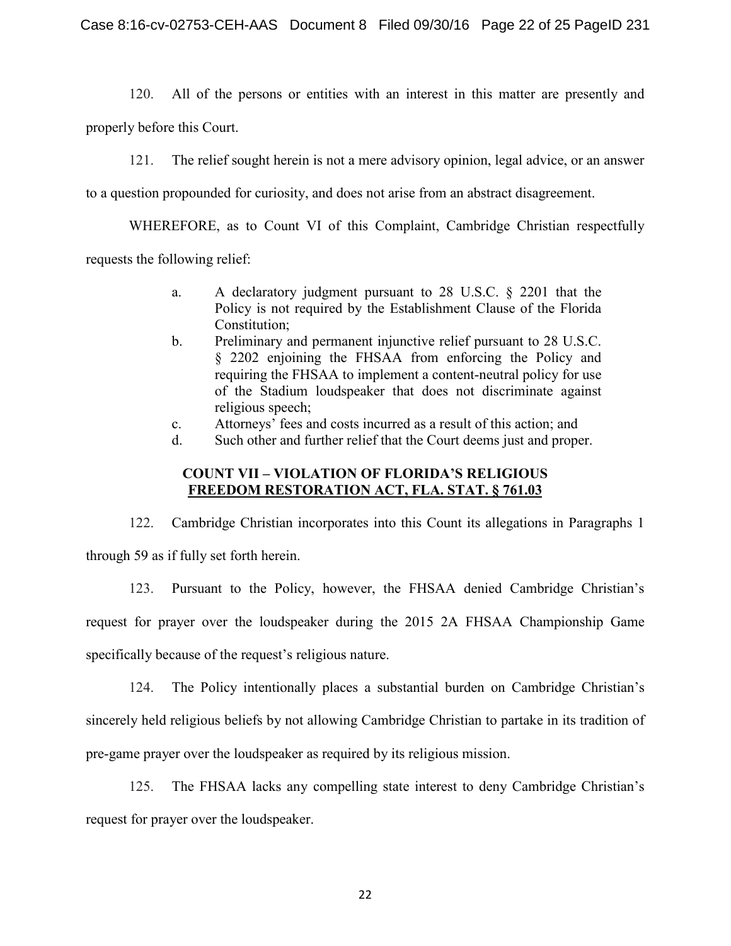120. All of the persons or entities with an interest in this matter are presently and

properly before this Court.

121. The relief sought herein is not a mere advisory opinion, legal advice, or an answer

to a question propounded for curiosity, and does not arise from an abstract disagreement.

WHEREFORE, as to Count VI of this Complaint, Cambridge Christian respectfully

requests the following relief:

- a. A declaratory judgment pursuant to 28 U.S.C. § 2201 that the Policy is not required by the Establishment Clause of the Florida Constitution;
- b. Preliminary and permanent injunctive relief pursuant to 28 U.S.C. § 2202 enjoining the FHSAA from enforcing the Policy and requiring the FHSAA to implement a content-neutral policy for use of the Stadium loudspeaker that does not discriminate against religious speech;
- c. Attorneys' fees and costs incurred as a result of this action; and
- d. Such other and further relief that the Court deems just and proper.

# **COUNT VII – VIOLATION OF FLORIDA'S RELIGIOUS FREEDOM RESTORATION ACT, FLA. STAT. § 761.03**

122. Cambridge Christian incorporates into this Count its allegations in Paragraphs 1 through 59 as if fully set forth herein.

123. Pursuant to the Policy, however, the FHSAA denied Cambridge Christian's request for prayer over the loudspeaker during the 2015 2A FHSAA Championship Game specifically because of the request's religious nature.

124. The Policy intentionally places a substantial burden on Cambridge Christian's sincerely held religious beliefs by not allowing Cambridge Christian to partake in its tradition of pre-game prayer over the loudspeaker as required by its religious mission.

125. The FHSAA lacks any compelling state interest to deny Cambridge Christian's request for prayer over the loudspeaker.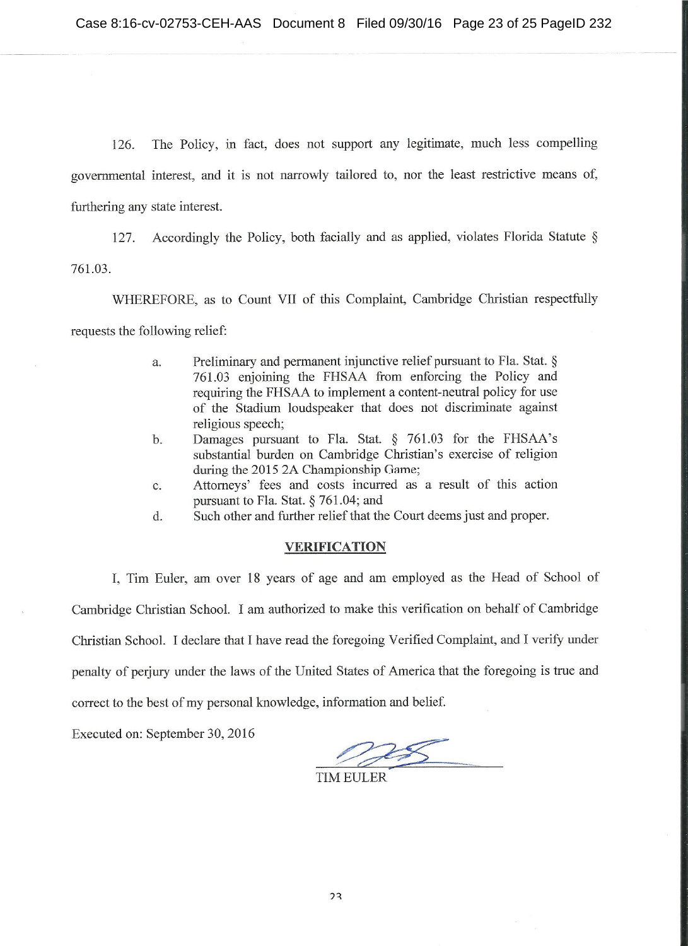The Policy, in fact, does not support any legitimate, much less compelling 126. governmental interest, and it is not narrowly tailored to, nor the least restrictive means of, furthering any state interest.

Accordingly the Policy, both facially and as applied, violates Florida Statute § 127. 761.03.

WHEREFORE, as to Count VII of this Complaint, Cambridge Christian respectfully requests the following relief:

- Preliminary and permanent injunctive relief pursuant to Fla. Stat. § a. 761.03 enjoining the FHSAA from enforcing the Policy and requiring the FHSAA to implement a content-neutral policy for use of the Stadium loudspeaker that does not discriminate against religious speech;
- Damages pursuant to Fla. Stat. § 761.03 for the FHSAA's  $<sub>b</sub>$ .</sub> substantial burden on Cambridge Christian's exercise of religion during the 2015 2A Championship Game;
- Attorneys' fees and costs incurred as a result of this action  $\mathbf{c}$ . pursuant to Fla. Stat. § 761.04; and
- Such other and further relief that the Court deems just and proper. d.

### **VERIFICATION**

I, Tim Euler, am over 18 years of age and am employed as the Head of School of Cambridge Christian School. I am authorized to make this verification on behalf of Cambridge Christian School. I declare that I have read the foregoing Verified Complaint, and I verify under penalty of periury under the laws of the United States of America that the foregoing is true and correct to the best of my personal knowledge, information and belief.

Executed on: September 30, 2016

**TIM EULER**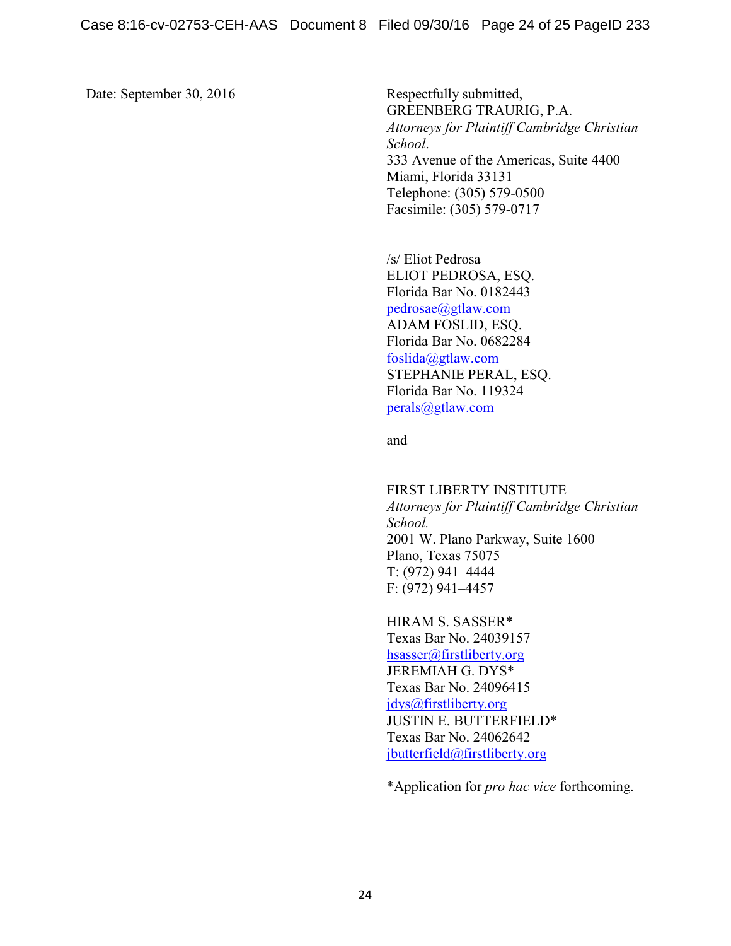Date: September 30, 2016 Respectfully submitted,

GREENBERG TRAURIG, P.A. *Attorneys for Plaintiff Cambridge Christian School*. 333 Avenue of the Americas, Suite 4400 Miami, Florida 33131 Telephone: (305) 579-0500 Facsimile: (305) 579-0717

/s/ Eliot Pedrosa ELIOT PEDROSA, ESQ. Florida Bar No. 0182443 [pedrosae@gtlaw.com](mailto:pedrosae@gtlaw.com) ADAM FOSLID, ESQ. Florida Bar No. 0682284 [foslida@gtlaw.com](mailto:foslida@gtlaw.com) STEPHANIE PERAL, ESQ. Florida Bar No. 119324 [perals@gtlaw.com](mailto:perals@gtlaw.com)

and

FIRST LIBERTY INSTITUTE *Attorneys for Plaintiff Cambridge Christian School.* 2001 W. Plano Parkway, Suite 1600 Plano, Texas 75075 T: (972) 941–4444 F: (972) 941–4457

HIRAM S. SASSER\* Texas Bar No. 24039157 [hsasser@firstliberty.org](mailto:hsasser@firstliberty.org) JEREMIAH G. DYS\* Texas Bar No. 24096415 [jdys@firstliberty.org](mailto:jdys@firstliberty.org) JUSTIN E. BUTTERFIELD\* Texas Bar No. 24062642 [jbutterfield@firstliberty.org](mailto:jbutterfield@firstliberty.org)

\*Application for *pro hac vice* forthcoming.